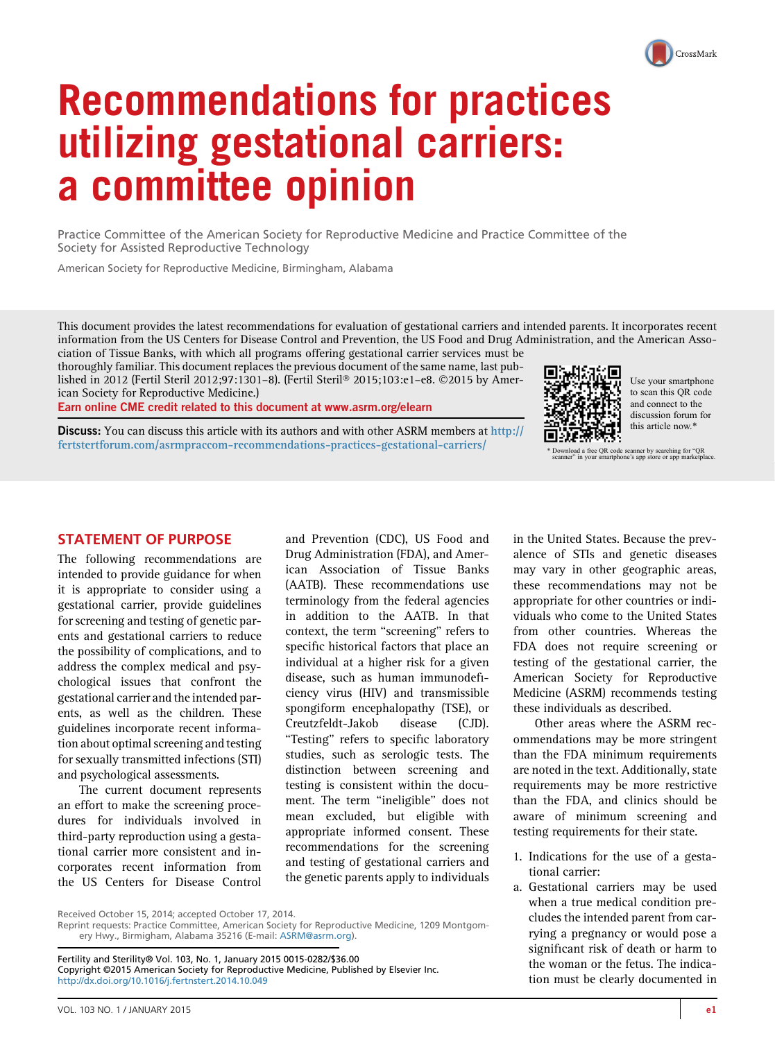

## Recommendations for practices utilizing gestational carriers: a committee opinion

Practice Committee of the American Society for Reproductive Medicine and Practice Committee of the Society for Assisted Reproductive Technology

American Society for Reproductive Medicine, Birmingham, Alabama

This document provides the latest recommendations for evaluation of gestational carriers and intended parents. It incorporates recent information from the US Centers for Disease Control and Prevention, the US Food and Drug Administration, and the American Association of Tissue Banks, with which all programs offering gestational carrier services must be

thoroughly familiar. This document replaces the previous document of the same name, last published in 2012 (Fertil Steril 2012;97:1301–8). (Fertil Steril 2015;103:e1–e8. 2015 by American Society for Reproductive Medicine.)

Earn online CME credit related to this document at [www.asrm.org/elearn](http://www.asrm.org/elearn)

Discuss: You can discuss this article with its authors and with other ASRM members at [http://](http://fertstertforum.com/asrmpraccom-recommendations-practices-gestational-carriers/) [fertstertforum.com/asrmpraccom-recommendations-practices-gestational-carriers/](http://fertstertforum.com/asrmpraccom-recommendations-practices-gestational-carriers/)



Use your smartphone to scan this QR code and connect to the discussion forum for this article now.\*

mload a free QR code scanner by searching for "QR ner" in your smartphone's app store or app marketpla

## STATEMENT OF PURPOSE

The following recommendations are intended to provide guidance for when it is appropriate to consider using a gestational carrier, provide guidelines for screening and testing of genetic parents and gestational carriers to reduce the possibility of complications, and to address the complex medical and psychological issues that confront the gestational carrier and the intended parents, as well as the children. These guidelines incorporate recent information about optimal screening and testing for sexually transmitted infections (STI) and psychological assessments.

The current document represents an effort to make the screening procedures for individuals involved in third-party reproduction using a gestational carrier more consistent and incorporates recent information from the US Centers for Disease Control

and Prevention (CDC), US Food and Drug Administration (FDA), and American Association of Tissue Banks (AATB). These recommendations use terminology from the federal agencies in addition to the AATB. In that context, the term ''screening'' refers to specific historical factors that place an individual at a higher risk for a given disease, such as human immunodeficiency virus (HIV) and transmissible spongiform encephalopathy (TSE), or Creutzfeldt-Jakob disease (CJD). ''Testing'' refers to specific laboratory studies, such as serologic tests. The distinction between screening and testing is consistent within the document. The term ''ineligible'' does not mean excluded, but eligible with appropriate informed consent. These recommendations for the screening and testing of gestational carriers and the genetic parents apply to individuals in the United States. Because the prevalence of STIs and genetic diseases may vary in other geographic areas, these recommendations may not be appropriate for other countries or individuals who come to the United States from other countries. Whereas the FDA does not require screening or testing of the gestational carrier, the American Society for Reproductive Medicine (ASRM) recommends testing these individuals as described.

Other areas where the ASRM recommendations may be more stringent than the FDA minimum requirements are noted in the text. Additionally, state requirements may be more restrictive than the FDA, and clinics should be aware of minimum screening and testing requirements for their state.

- 1. Indications for the use of a gestational carrier:
- a. Gestational carriers may be used when a true medical condition precludes the intended parent from carrying a pregnancy or would pose a significant risk of death or harm to the woman or the fetus. The indication must be clearly documented in

Received October 15, 2014; accepted October 17, 2014.

Fertility and Sterility® Vol. 103, No. 1, January 2015 0015-0282/\$36.00 Copyright ©2015 American Society for Reproductive Medicine, Published by Elsevier Inc. <http://dx.doi.org/10.1016/j.fertnstert.2014.10.049>

Reprint requests: Practice Committee, American Society for Reproductive Medicine, 1209 Montgomery Hwy., Birmigham, Alabama 35216 (E-mail: [ASRM@asrm.org](mailto:ASRM@asrm.org)).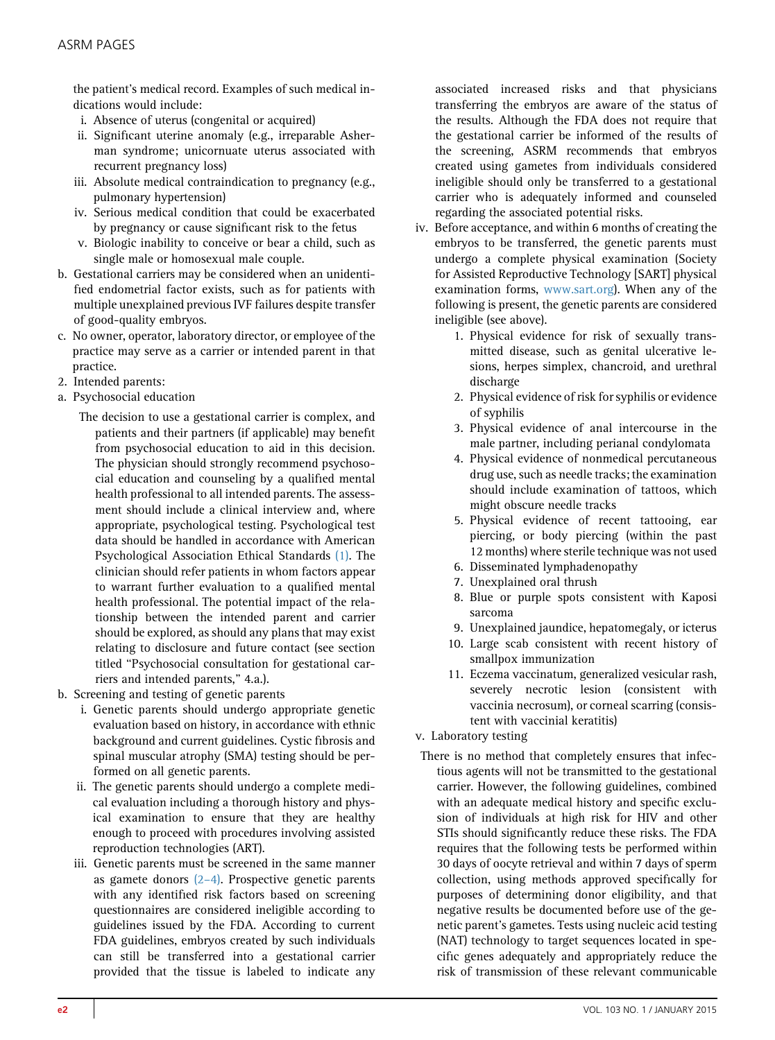the patient's medical record. Examples of such medical indications would include:

- i. Absence of uterus (congenital or acquired)
- ii. Significant uterine anomaly (e.g., irreparable Asherman syndrome; unicornuate uterus associated with recurrent pregnancy loss)
- iii. Absolute medical contraindication to pregnancy (e.g., pulmonary hypertension)
- iv. Serious medical condition that could be exacerbated by pregnancy or cause significant risk to the fetus
- v. Biologic inability to conceive or bear a child, such as single male or homosexual male couple.
- b. Gestational carriers may be considered when an unidentified endometrial factor exists, such as for patients with multiple unexplained previous IVF failures despite transfer of good-quality embryos.
- c. No owner, operator, laboratory director, or employee of the practice may serve as a carrier or intended parent in that practice.
- 2. Intended parents:
- a. Psychosocial education

The decision to use a gestational carrier is complex, and patients and their partners (if applicable) may benefit from psychosocial education to aid in this decision. The physician should strongly recommend psychosocial education and counseling by a qualified mental health professional to all intended parents. The assessment should include a clinical interview and, where appropriate, psychological testing. Psychological test data should be handled in accordance with American Psychological Association Ethical Standards [\(1\)](#page-7-0). The clinician should refer patients in whom factors appear to warrant further evaluation to a qualified mental health professional. The potential impact of the relationship between the intended parent and carrier should be explored, as should any plans that may exist relating to disclosure and future contact (see section titled ''Psychosocial consultation for gestational carriers and intended parents,'' 4.a.).

- b. Screening and testing of genetic parents
	- i. Genetic parents should undergo appropriate genetic evaluation based on history, in accordance with ethnic background and current guidelines. Cystic fibrosis and spinal muscular atrophy (SMA) testing should be performed on all genetic parents.
	- ii. The genetic parents should undergo a complete medical evaluation including a thorough history and physical examination to ensure that they are healthy enough to proceed with procedures involving assisted reproduction technologies (ART).
	- iii. Genetic parents must be screened in the same manner as gamete donors  $(2-4)$ . Prospective genetic parents with any identified risk factors based on screening questionnaires are considered ineligible according to guidelines issued by the FDA. According to current FDA guidelines, embryos created by such individuals can still be transferred into a gestational carrier provided that the tissue is labeled to indicate any

associated increased risks and that physicians transferring the embryos are aware of the status of the results. Although the FDA does not require that the gestational carrier be informed of the results of the screening, ASRM recommends that embryos created using gametes from individuals considered ineligible should only be transferred to a gestational carrier who is adequately informed and counseled regarding the associated potential risks.

- iv. Before acceptance, and within 6 months of creating the embryos to be transferred, the genetic parents must undergo a complete physical examination (Society for Assisted Reproductive Technology [SART] physical examination forms, www.sart.org). When any of the following is present, the genetic parents are considered ineligible (see above).
	- 1. Physical evidence for risk of sexually transmitted disease, such as genital ulcerative lesions, herpes simplex, chancroid, and urethral discharge
	- 2. Physical evidence of risk for syphilis or evidence of syphilis
	- 3. Physical evidence of anal intercourse in the male partner, including perianal condylomata
	- 4. Physical evidence of nonmedical percutaneous drug use, such as needle tracks; the examination should include examination of tattoos, which might obscure needle tracks
	- 5. Physical evidence of recent tattooing, ear piercing, or body piercing (within the past 12 months) where sterile technique was not used
	- 6. Disseminated lymphadenopathy
	- 7. Unexplained oral thrush
	- 8. Blue or purple spots consistent with Kaposi sarcoma
	- 9. Unexplained jaundice, hepatomegaly, or icterus
	- 10. Large scab consistent with recent history of smallpox immunization
	- 11. Eczema vaccinatum, generalized vesicular rash, severely necrotic lesion (consistent with vaccinia necrosum), or corneal scarring (consistent with vaccinial keratitis)
- v. Laboratory testing
- There is no method that completely ensures that infectious agents will not be transmitted to the gestational carrier. However, the following guidelines, combined with an adequate medical history and specific exclusion of individuals at high risk for HIV and other STIs should significantly reduce these risks. The FDA requires that the following tests be performed within 30 days of oocyte retrieval and within 7 days of sperm collection, using methods approved specifically for purposes of determining donor eligibility, and that negative results be documented before use of the genetic parent's gametes. Tests using nucleic acid testing (NAT) technology to target sequences located in specific genes adequately and appropriately reduce the risk of transmission of these relevant communicable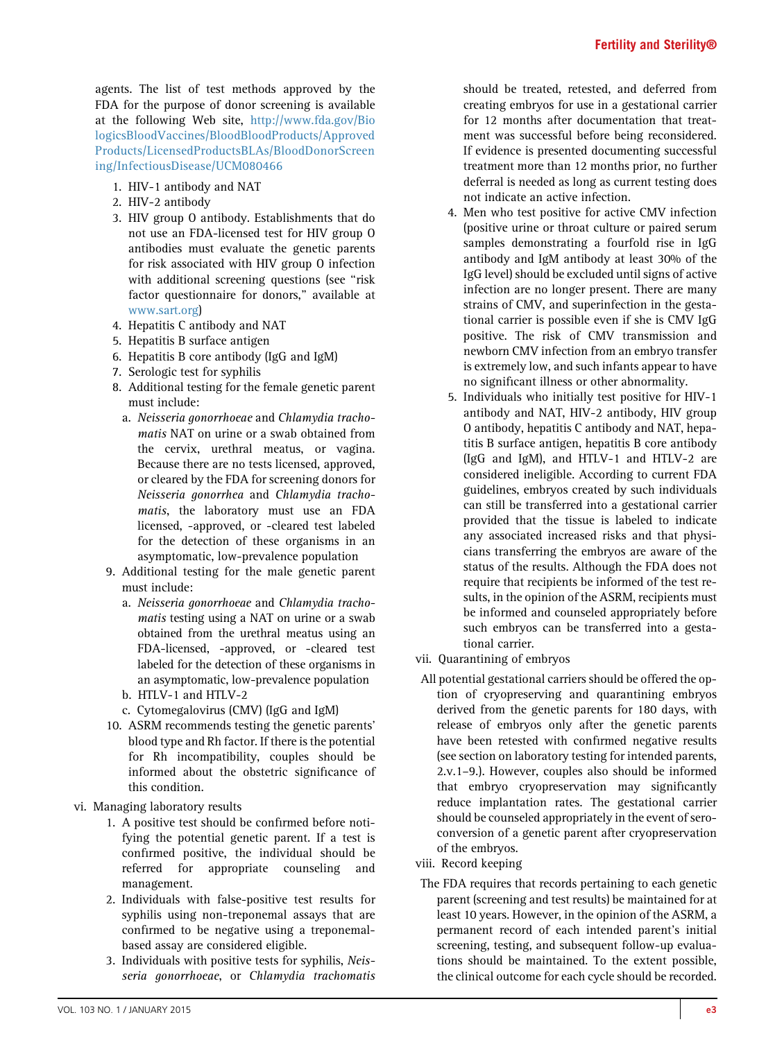agents. The list of test methods approved by the FDA for the purpose of donor screening is available at the following Web site, [http://www.fda.gov/Bio](http://www.fda.gov/BiologicsBloodVaccines/BloodBloodProducts/ApprovedProducts/LicensedProductsBLAs/BloodDonorScreening/InfectiousDisease/UCM080466) [logicsBloodVaccines/BloodBloodProducts/Approved](http://www.fda.gov/BiologicsBloodVaccines/BloodBloodProducts/ApprovedProducts/LicensedProductsBLAs/BloodDonorScreening/InfectiousDisease/UCM080466) [Products/LicensedProductsBLAs/BloodDonorScreen](http://www.fda.gov/BiologicsBloodVaccines/BloodBloodProducts/ApprovedProducts/LicensedProductsBLAs/BloodDonorScreening/InfectiousDisease/UCM080466) [ing/InfectiousDisease/UCM080466](http://www.fda.gov/BiologicsBloodVaccines/BloodBloodProducts/ApprovedProducts/LicensedProductsBLAs/BloodDonorScreening/InfectiousDisease/UCM080466)

- 1. HIV-1 antibody and NAT
- 2. HIV-2 antibody
- 3. HIV group O antibody. Establishments that do not use an FDA-licensed test for HIV group O antibodies must evaluate the genetic parents for risk associated with HIV group O infection with additional screening questions (see "risk factor questionnaire for donors,'' available at www.sart.org)
- 4. Hepatitis C antibody and NAT
- 5. Hepatitis B surface antigen
- 6. Hepatitis B core antibody (IgG and IgM)
- 7. Serologic test for syphilis
- 8. Additional testing for the female genetic parent must include:
	- a. Neisseria gonorrhoeae and Chlamydia trachomatis NAT on urine or a swab obtained from the cervix, urethral meatus, or vagina. Because there are no tests licensed, approved, or cleared by the FDA for screening donors for Neisseria gonorrhea and Chlamydia trachomatis, the laboratory must use an FDA licensed, -approved, or -cleared test labeled for the detection of these organisms in an asymptomatic, low-prevalence population
- 9. Additional testing for the male genetic parent must include:
	- a. Neisseria gonorrhoeae and Chlamydia trachomatis testing using a NAT on urine or a swab obtained from the urethral meatus using an FDA-licensed, -approved, or -cleared test labeled for the detection of these organisms in an asymptomatic, low-prevalence population b. HTLV-1 and HTLV-2
	-
	- c. Cytomegalovirus (CMV) (IgG and IgM)
- 10. ASRM recommends testing the genetic parents' blood type and Rh factor. If there is the potential for Rh incompatibility, couples should be informed about the obstetric significance of this condition.
- vi. Managing laboratory results
	- 1. A positive test should be confirmed before notifying the potential genetic parent. If a test is confirmed positive, the individual should be referred for appropriate counseling and management.
	- 2. Individuals with false-positive test results for syphilis using non-treponemal assays that are confirmed to be negative using a treponemalbased assay are considered eligible.
	- 3. Individuals with positive tests for syphilis, Neisseria gonorrhoeae, or Chlamydia trachomatis

should be treated, retested, and deferred from creating embryos for use in a gestational carrier for 12 months after documentation that treatment was successful before being reconsidered. If evidence is presented documenting successful treatment more than 12 months prior, no further deferral is needed as long as current testing does not indicate an active infection.

- 4. Men who test positive for active CMV infection (positive urine or throat culture or paired serum samples demonstrating a fourfold rise in IgG antibody and IgM antibody at least 30% of the IgG level) should be excluded until signs of active infection are no longer present. There are many strains of CMV, and superinfection in the gestational carrier is possible even if she is CMV IgG positive. The risk of CMV transmission and newborn CMV infection from an embryo transfer is extremely low, and such infants appear to have no significant illness or other abnormality.
- 5. Individuals who initially test positive for HIV-1 antibody and NAT, HIV-2 antibody, HIV group O antibody, hepatitis C antibody and NAT, hepatitis B surface antigen, hepatitis B core antibody (IgG and IgM), and HTLV-1 and HTLV-2 are considered ineligible. According to current FDA guidelines, embryos created by such individuals can still be transferred into a gestational carrier provided that the tissue is labeled to indicate any associated increased risks and that physicians transferring the embryos are aware of the status of the results. Although the FDA does not require that recipients be informed of the test results, in the opinion of the ASRM, recipients must be informed and counseled appropriately before such embryos can be transferred into a gestational carrier.
- vii. Quarantining of embryos
- All potential gestational carriers should be offered the option of cryopreserving and quarantining embryos derived from the genetic parents for 180 days, with release of embryos only after the genetic parents have been retested with confirmed negative results (see section on laboratory testing for intended parents, 2.v.1–9.). However, couples also should be informed that embryo cryopreservation may significantly reduce implantation rates. The gestational carrier should be counseled appropriately in the event of seroconversion of a genetic parent after cryopreservation of the embryos.
- viii. Record keeping
- The FDA requires that records pertaining to each genetic parent (screening and test results) be maintained for at least 10 years. However, in the opinion of the ASRM, a permanent record of each intended parent's initial screening, testing, and subsequent follow-up evaluations should be maintained. To the extent possible, the clinical outcome for each cycle should be recorded.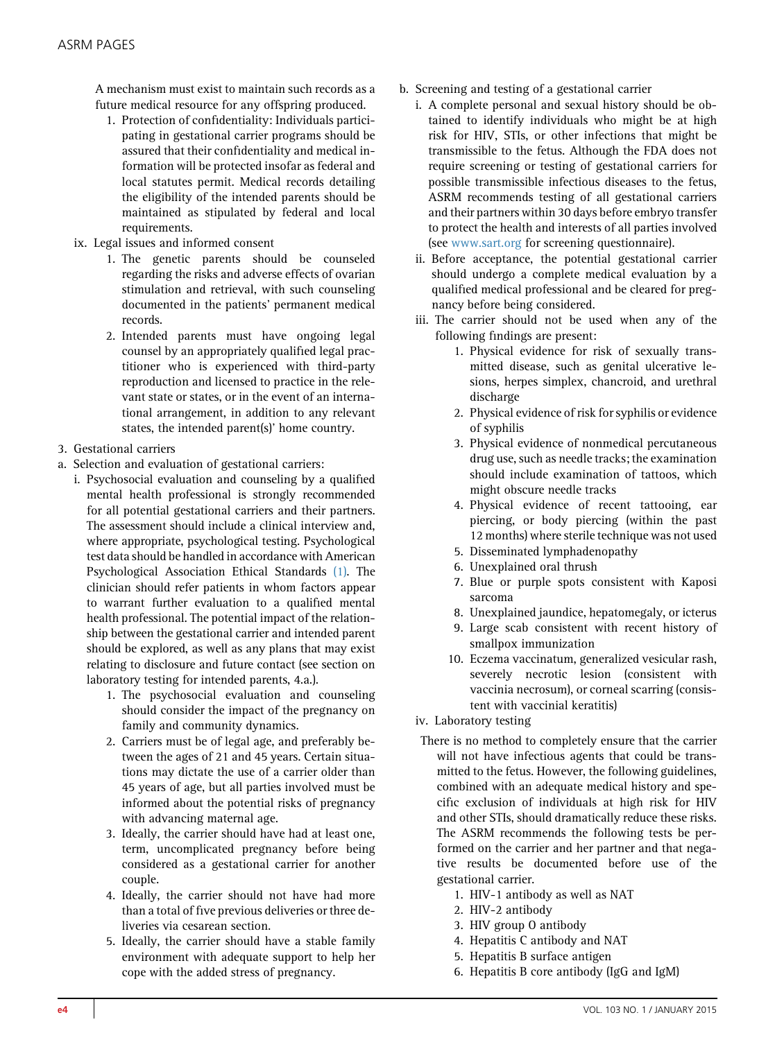A mechanism must exist to maintain such records as a future medical resource for any offspring produced.

- 1. Protection of confidentiality: Individuals participating in gestational carrier programs should be assured that their confidentiality and medical information will be protected insofar as federal and local statutes permit. Medical records detailing the eligibility of the intended parents should be maintained as stipulated by federal and local requirements.
- ix. Legal issues and informed consent
	- 1. The genetic parents should be counseled regarding the risks and adverse effects of ovarian stimulation and retrieval, with such counseling documented in the patients' permanent medical records.
	- 2. Intended parents must have ongoing legal counsel by an appropriately qualified legal practitioner who is experienced with third-party reproduction and licensed to practice in the relevant state or states, or in the event of an international arrangement, in addition to any relevant states, the intended parent(s)' home country.
- 3. Gestational carriers
- a. Selection and evaluation of gestational carriers:
	- i. Psychosocial evaluation and counseling by a qualified mental health professional is strongly recommended for all potential gestational carriers and their partners. The assessment should include a clinical interview and, where appropriate, psychological testing. Psychological test data should be handled in accordance with American Psychological Association Ethical Standards [\(1\).](#page-7-0) The clinician should refer patients in whom factors appear to warrant further evaluation to a qualified mental health professional. The potential impact of the relationship between the gestational carrier and intended parent should be explored, as well as any plans that may exist relating to disclosure and future contact (see section on laboratory testing for intended parents, 4.a.).
		- 1. The psychosocial evaluation and counseling should consider the impact of the pregnancy on family and community dynamics.
		- 2. Carriers must be of legal age, and preferably between the ages of 21 and 45 years. Certain situations may dictate the use of a carrier older than 45 years of age, but all parties involved must be informed about the potential risks of pregnancy with advancing maternal age.
		- 3. Ideally, the carrier should have had at least one, term, uncomplicated pregnancy before being considered as a gestational carrier for another couple.
		- 4. Ideally, the carrier should not have had more than a total of five previous deliveries or three deliveries via cesarean section.
		- 5. Ideally, the carrier should have a stable family environment with adequate support to help her cope with the added stress of pregnancy.
- b. Screening and testing of a gestational carrier
	- i. A complete personal and sexual history should be obtained to identify individuals who might be at high risk for HIV, STIs, or other infections that might be transmissible to the fetus. Although the FDA does not require screening or testing of gestational carriers for possible transmissible infectious diseases to the fetus, ASRM recommends testing of all gestational carriers and their partners within 30 days before embryo transfer to protect the health and interests of all parties involved (see www.sart.org for screening questionnaire).
	- ii. Before acceptance, the potential gestational carrier should undergo a complete medical evaluation by a qualified medical professional and be cleared for pregnancy before being considered.
	- iii. The carrier should not be used when any of the following findings are present:
		- 1. Physical evidence for risk of sexually transmitted disease, such as genital ulcerative lesions, herpes simplex, chancroid, and urethral discharge
		- 2. Physical evidence of risk for syphilis or evidence of syphilis
		- 3. Physical evidence of nonmedical percutaneous drug use, such as needle tracks; the examination should include examination of tattoos, which might obscure needle tracks
		- 4. Physical evidence of recent tattooing, ear piercing, or body piercing (within the past 12 months) where sterile technique was not used
		- 5. Disseminated lymphadenopathy
		- 6. Unexplained oral thrush
		- 7. Blue or purple spots consistent with Kaposi sarcoma
		- 8. Unexplained jaundice, hepatomegaly, or icterus
		- 9. Large scab consistent with recent history of smallpox immunization
		- 10. Eczema vaccinatum, generalized vesicular rash, severely necrotic lesion (consistent with vaccinia necrosum), or corneal scarring (consistent with vaccinial keratitis)
	- iv. Laboratory testing
	- There is no method to completely ensure that the carrier will not have infectious agents that could be transmitted to the fetus. However, the following guidelines, combined with an adequate medical history and specific exclusion of individuals at high risk for HIV and other STIs, should dramatically reduce these risks. The ASRM recommends the following tests be performed on the carrier and her partner and that negative results be documented before use of the gestational carrier.
		- 1. HIV-1 antibody as well as NAT
		- 2. HIV-2 antibody
		- 3. HIV group O antibody
		- 4. Hepatitis C antibody and NAT
		- 5. Hepatitis B surface antigen
		- 6. Hepatitis B core antibody (IgG and IgM)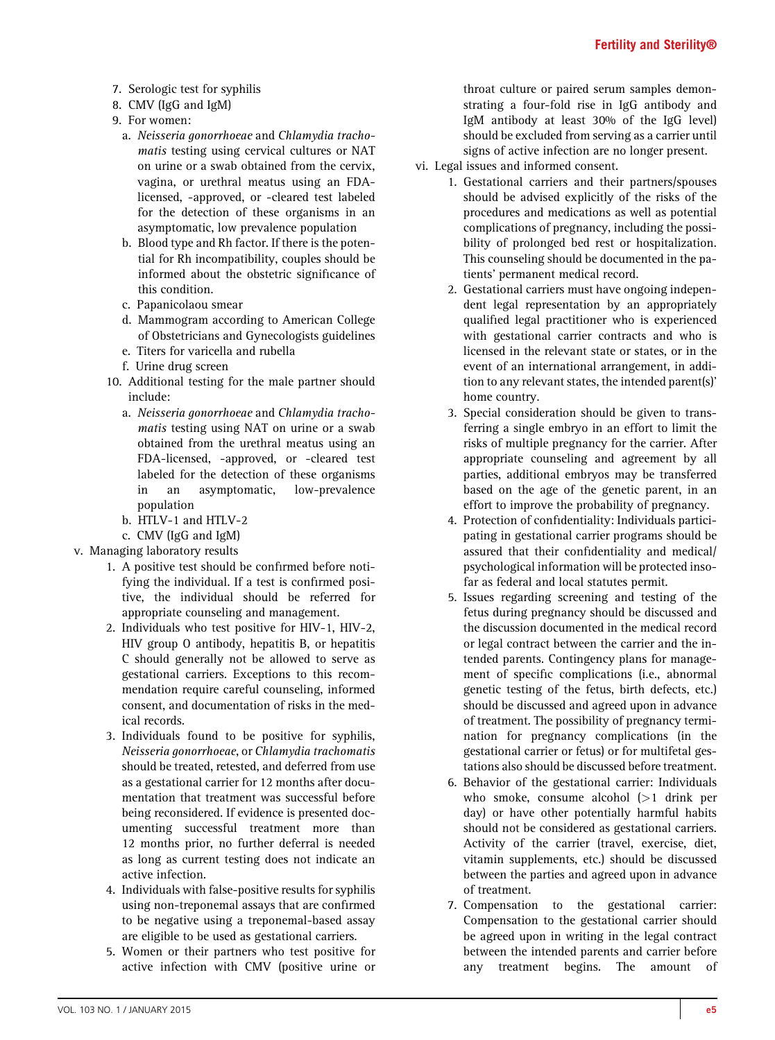- 7. Serologic test for syphilis
- 8. CMV (IgG and IgM)
- 9. For women:
	- a. Neisseria gonorrhoeae and Chlamydia trachomatis testing using cervical cultures or NAT on urine or a swab obtained from the cervix, vagina, or urethral meatus using an FDAlicensed, -approved, or -cleared test labeled for the detection of these organisms in an asymptomatic, low prevalence population
	- b. Blood type and Rh factor. If there is the potential for Rh incompatibility, couples should be informed about the obstetric significance of this condition.
	- c. Papanicolaou smear
	- d. Mammogram according to American College of Obstetricians and Gynecologists guidelines
	- e. Titers for varicella and rubella
	- f. Urine drug screen
- 10. Additional testing for the male partner should include:
	- a. Neisseria gonorrhoeae and Chlamydia trachomatis testing using NAT on urine or a swab obtained from the urethral meatus using an FDA-licensed, -approved, or -cleared test labeled for the detection of these organisms in an asymptomatic, low-prevalence population
	- b. HTLV-1 and HTLV-2
	- c. CMV (IgG and IgM)
- v. Managing laboratory results
	- 1. A positive test should be confirmed before notifying the individual. If a test is confirmed positive, the individual should be referred for appropriate counseling and management.
	- 2. Individuals who test positive for HIV-1, HIV-2, HIV group O antibody, hepatitis B, or hepatitis C should generally not be allowed to serve as gestational carriers. Exceptions to this recommendation require careful counseling, informed consent, and documentation of risks in the medical records.
	- 3. Individuals found to be positive for syphilis, Neisseria gonorrhoeae, or Chlamydia trachomatis should be treated, retested, and deferred from use as a gestational carrier for 12 months after documentation that treatment was successful before being reconsidered. If evidence is presented documenting successful treatment more than 12 months prior, no further deferral is needed as long as current testing does not indicate an active infection.
	- 4. Individuals with false-positive results for syphilis using non-treponemal assays that are confirmed to be negative using a treponemal-based assay are eligible to be used as gestational carriers.
	- 5. Women or their partners who test positive for active infection with CMV (positive urine or

throat culture or paired serum samples demonstrating a four-fold rise in IgG antibody and IgM antibody at least 30% of the IgG level) should be excluded from serving as a carrier until signs of active infection are no longer present.

- vi. Legal issues and informed consent.
	- 1. Gestational carriers and their partners/spouses should be advised explicitly of the risks of the procedures and medications as well as potential complications of pregnancy, including the possibility of prolonged bed rest or hospitalization. This counseling should be documented in the patients' permanent medical record.
	- 2. Gestational carriers must have ongoing independent legal representation by an appropriately qualified legal practitioner who is experienced with gestational carrier contracts and who is licensed in the relevant state or states, or in the event of an international arrangement, in addition to any relevant states, the intended parent(s)' home country.
	- 3. Special consideration should be given to transferring a single embryo in an effort to limit the risks of multiple pregnancy for the carrier. After appropriate counseling and agreement by all parties, additional embryos may be transferred based on the age of the genetic parent, in an effort to improve the probability of pregnancy.
	- 4. Protection of confidentiality: Individuals participating in gestational carrier programs should be assured that their confidentiality and medical/ psychological information will be protected insofar as federal and local statutes permit.
	- 5. Issues regarding screening and testing of the fetus during pregnancy should be discussed and the discussion documented in the medical record or legal contract between the carrier and the intended parents. Contingency plans for management of specific complications (i.e., abnormal genetic testing of the fetus, birth defects, etc.) should be discussed and agreed upon in advance of treatment. The possibility of pregnancy termination for pregnancy complications (in the gestational carrier or fetus) or for multifetal gestations also should be discussed before treatment.
	- 6. Behavior of the gestational carrier: Individuals who smoke, consume alcohol (>1 drink per day) or have other potentially harmful habits should not be considered as gestational carriers. Activity of the carrier (travel, exercise, diet, vitamin supplements, etc.) should be discussed between the parties and agreed upon in advance of treatment.
	- 7. Compensation to the gestational carrier: Compensation to the gestational carrier should be agreed upon in writing in the legal contract between the intended parents and carrier before any treatment begins. The amount of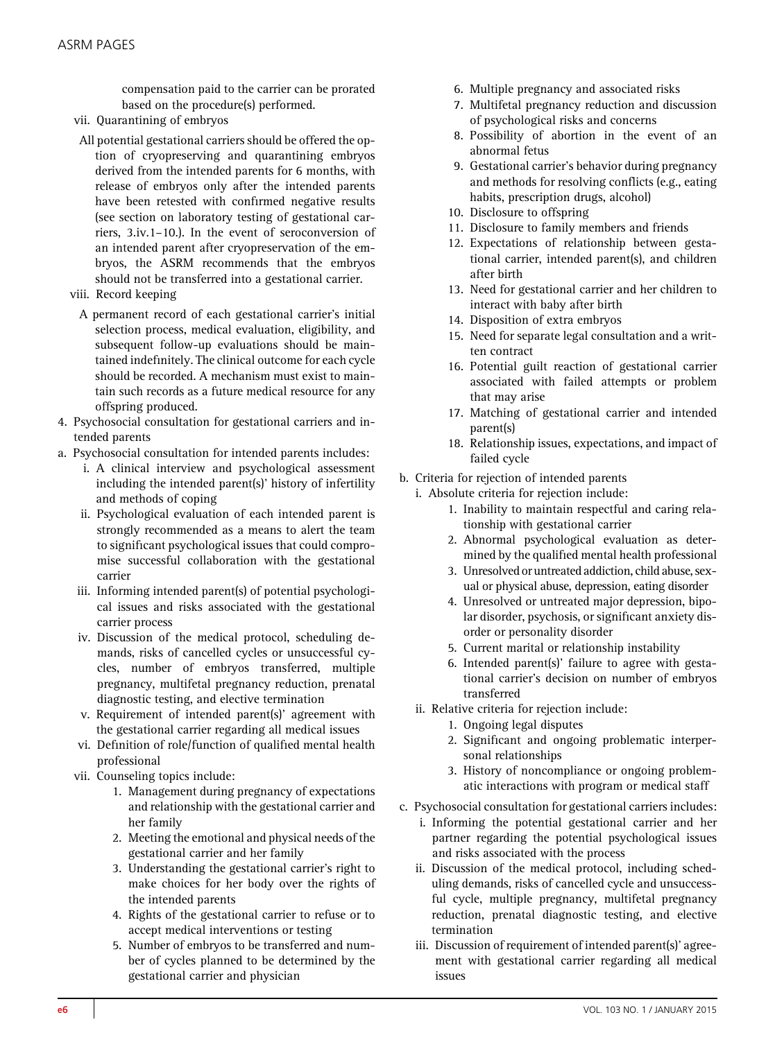compensation paid to the carrier can be prorated based on the procedure(s) performed.

- vii. Quarantining of embryos
- All potential gestational carriers should be offered the option of cryopreserving and quarantining embryos derived from the intended parents for 6 months, with release of embryos only after the intended parents have been retested with confirmed negative results (see section on laboratory testing of gestational carriers, 3.iv.1–10.). In the event of seroconversion of an intended parent after cryopreservation of the embryos, the ASRM recommends that the embryos should not be transferred into a gestational carrier.
- viii. Record keeping
	- A permanent record of each gestational carrier's initial selection process, medical evaluation, eligibility, and subsequent follow-up evaluations should be maintained indefinitely. The clinical outcome for each cycle should be recorded. A mechanism must exist to maintain such records as a future medical resource for any offspring produced.
- 4. Psychosocial consultation for gestational carriers and intended parents
- a. Psychosocial consultation for intended parents includes:
	- i. A clinical interview and psychological assessment including the intended parent(s)' history of infertility and methods of coping
	- ii. Psychological evaluation of each intended parent is strongly recommended as a means to alert the team to significant psychological issues that could compromise successful collaboration with the gestational carrier
	- iii. Informing intended parent(s) of potential psychological issues and risks associated with the gestational carrier process
	- iv. Discussion of the medical protocol, scheduling demands, risks of cancelled cycles or unsuccessful cycles, number of embryos transferred, multiple pregnancy, multifetal pregnancy reduction, prenatal diagnostic testing, and elective termination
	- v. Requirement of intended parent(s)' agreement with the gestational carrier regarding all medical issues
	- vi. Definition of role/function of qualified mental health professional
	- vii. Counseling topics include:
		- 1. Management during pregnancy of expectations and relationship with the gestational carrier and her family
		- 2. Meeting the emotional and physical needs of the gestational carrier and her family
		- 3. Understanding the gestational carrier's right to make choices for her body over the rights of the intended parents
		- 4. Rights of the gestational carrier to refuse or to accept medical interventions or testing
		- 5. Number of embryos to be transferred and number of cycles planned to be determined by the gestational carrier and physician
- 6. Multiple pregnancy and associated risks
- 7. Multifetal pregnancy reduction and discussion of psychological risks and concerns
- 8. Possibility of abortion in the event of an abnormal fetus
- 9. Gestational carrier's behavior during pregnancy and methods for resolving conflicts (e.g., eating habits, prescription drugs, alcohol)
- 10. Disclosure to offspring
- 11. Disclosure to family members and friends
- 12. Expectations of relationship between gestational carrier, intended parent(s), and children after birth
- 13. Need for gestational carrier and her children to interact with baby after birth
- 14. Disposition of extra embryos
- 15. Need for separate legal consultation and a written contract
- 16. Potential guilt reaction of gestational carrier associated with failed attempts or problem that may arise
- 17. Matching of gestational carrier and intended parent(s)
- 18. Relationship issues, expectations, and impact of failed cycle
- b. Criteria for rejection of intended parents
	- i. Absolute criteria for rejection include:
		- 1. Inability to maintain respectful and caring relationship with gestational carrier
		- 2. Abnormal psychological evaluation as determined by the qualified mental health professional
		- 3. Unresolved or untreated addiction, child abuse, sexual or physical abuse, depression, eating disorder
		- 4. Unresolved or untreated major depression, bipolar disorder, psychosis, or significant anxiety disorder or personality disorder
		- 5. Current marital or relationship instability
		- 6. Intended parent(s)' failure to agree with gestational carrier's decision on number of embryos transferred
	- ii. Relative criteria for rejection include:
		- 1. Ongoing legal disputes
		- 2. Significant and ongoing problematic interpersonal relationships
		- 3. History of noncompliance or ongoing problematic interactions with program or medical staff
- c. Psychosocial consultation for gestational carriers includes:
	- i. Informing the potential gestational carrier and her partner regarding the potential psychological issues and risks associated with the process
	- ii. Discussion of the medical protocol, including scheduling demands, risks of cancelled cycle and unsuccessful cycle, multiple pregnancy, multifetal pregnancy reduction, prenatal diagnostic testing, and elective termination
	- iii. Discussion of requirement of intended parent(s)' agreement with gestational carrier regarding all medical issues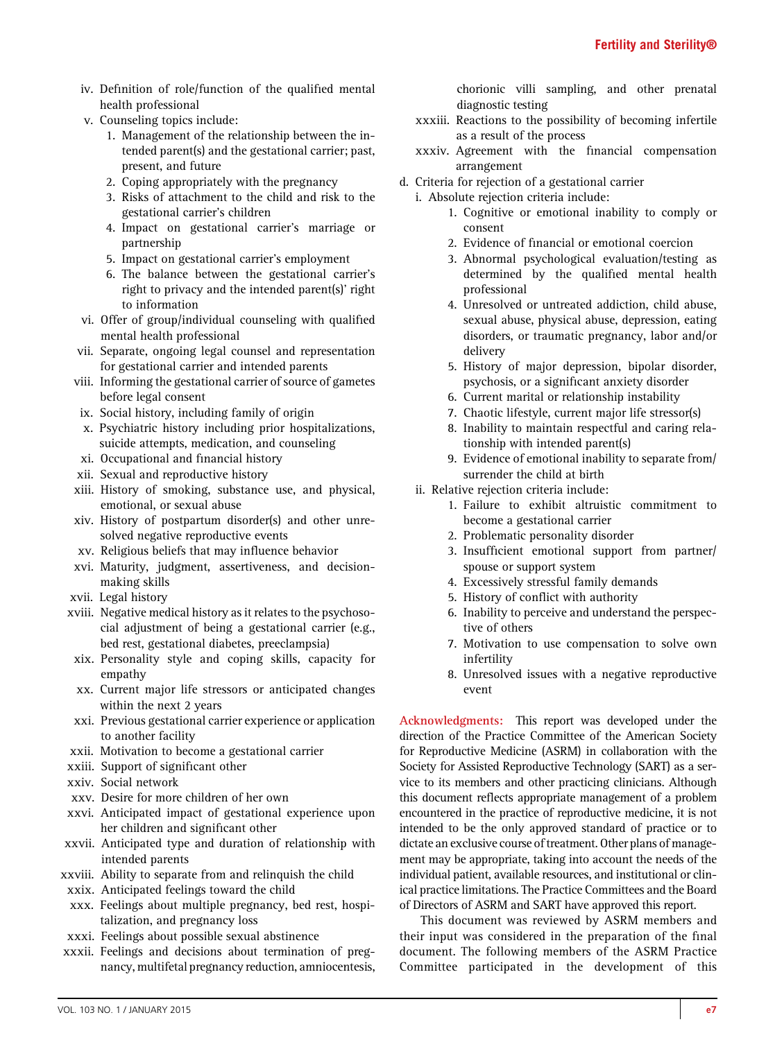- iv. Definition of role/function of the qualified mental health professional
- v. Counseling topics include:
	- 1. Management of the relationship between the intended parent(s) and the gestational carrier; past, present, and future
	- 2. Coping appropriately with the pregnancy
	- 3. Risks of attachment to the child and risk to the gestational carrier's children
	- 4. Impact on gestational carrier's marriage or partnership
	- 5. Impact on gestational carrier's employment
	- 6. The balance between the gestational carrier's right to privacy and the intended parent(s)' right to information
- vi. Offer of group/individual counseling with qualified mental health professional
- vii. Separate, ongoing legal counsel and representation for gestational carrier and intended parents
- viii. Informing the gestational carrier of source of gametes before legal consent
- ix. Social history, including family of origin
- x. Psychiatric history including prior hospitalizations, suicide attempts, medication, and counseling
- xi. Occupational and financial history
- xii. Sexual and reproductive history
- xiii. History of smoking, substance use, and physical, emotional, or sexual abuse
- xiv. History of postpartum disorder(s) and other unresolved negative reproductive events
- xv. Religious beliefs that may influence behavior
- xvi. Maturity, judgment, assertiveness, and decisionmaking skills
- xvii. Legal history
- xviii. Negative medical history as it relates to the psychosocial adjustment of being a gestational carrier (e.g., bed rest, gestational diabetes, preeclampsia)
- xix. Personality style and coping skills, capacity for empathy
- xx. Current major life stressors or anticipated changes within the next 2 years
- xxi. Previous gestational carrier experience or application to another facility
- xxii. Motivation to become a gestational carrier
- xxiii. Support of significant other
- xxiv. Social network
- xxv. Desire for more children of her own
- xxvi. Anticipated impact of gestational experience upon her children and significant other
- xxvii. Anticipated type and duration of relationship with intended parents
- xxviii. Ability to separate from and relinquish the child
- xxix. Anticipated feelings toward the child
- xxx. Feelings about multiple pregnancy, bed rest, hospitalization, and pregnancy loss
- xxxi. Feelings about possible sexual abstinence
- xxxii. Feelings and decisions about termination of pregnancy, multifetal pregnancy reduction, amniocentesis,

chorionic villi sampling, and other prenatal diagnostic testing

- xxxiii. Reactions to the possibility of becoming infertile as a result of the process
- xxxiv. Agreement with the financial compensation arrangement
- d. Criteria for rejection of a gestational carrier
	- i. Absolute rejection criteria include:
		- 1. Cognitive or emotional inability to comply or consent
		- 2. Evidence of financial or emotional coercion
		- 3. Abnormal psychological evaluation/testing as determined by the qualified mental health professional
		- 4. Unresolved or untreated addiction, child abuse, sexual abuse, physical abuse, depression, eating disorders, or traumatic pregnancy, labor and/or delivery
		- 5. History of major depression, bipolar disorder, psychosis, or a significant anxiety disorder
		- 6. Current marital or relationship instability
		- 7. Chaotic lifestyle, current major life stressor(s)
		- 8. Inability to maintain respectful and caring relationship with intended parent(s)
		- 9. Evidence of emotional inability to separate from/ surrender the child at birth
	- ii. Relative rejection criteria include:
		- 1. Failure to exhibit altruistic commitment to become a gestational carrier
		- 2. Problematic personality disorder
		- 3. Insufficient emotional support from partner/ spouse or support system
		- 4. Excessively stressful family demands
		- 5. History of conflict with authority
		- 6. Inability to perceive and understand the perspective of others
		- 7. Motivation to use compensation to solve own infertility
		- 8. Unresolved issues with a negative reproductive event

Acknowledgments: This report was developed under the direction of the Practice Committee of the American Society for Reproductive Medicine (ASRM) in collaboration with the Society for Assisted Reproductive Technology (SART) as a service to its members and other practicing clinicians. Although this document reflects appropriate management of a problem encountered in the practice of reproductive medicine, it is not intended to be the only approved standard of practice or to dictate an exclusive course of treatment. Other plans of management may be appropriate, taking into account the needs of the individual patient, available resources, and institutional or clinical practice limitations. The Practice Committees and the Board of Directors of ASRM and SART have approved this report.

This document was reviewed by ASRM members and their input was considered in the preparation of the final document. The following members of the ASRM Practice Committee participated in the development of this